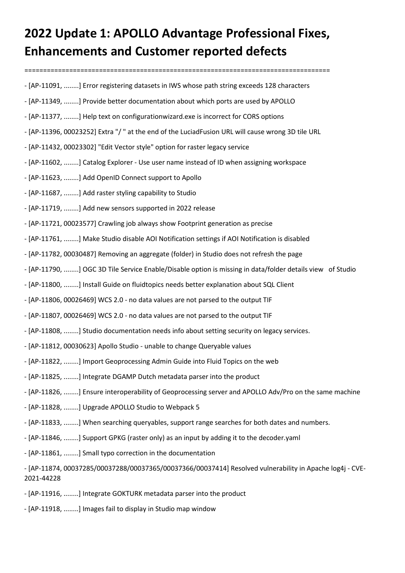## **2022 Update 1: APOLLO Advantage Professional Fixes, Enhancements and Customer reported defects**

- ==================================================================================
- [AP-11091, ........] Error registering datasets in IWS whose path string exceeds 128 characters
- [AP-11349, ........] Provide better documentation about which ports are used by APOLLO
- [AP-11377, ........] Help text on configurationwizard.exe is incorrect for CORS options
- [AP-11396, 00023252] Extra "/ " at the end of the LuciadFusion URL will cause wrong 3D tile URL
- [AP-11432, 00023302] "Edit Vector style" option for raster legacy service
- [AP-11602, ........] Catalog Explorer Use user name instead of ID when assigning workspace
- [AP-11623, ........] Add OpenID Connect support to Apollo
- [AP-11687, ........] Add raster styling capability to Studio
- [AP-11719, ........] Add new sensors supported in 2022 release
- [AP-11721, 00023577] Crawling job always show Footprint generation as precise
- [AP-11761, ........] Make Studio disable AOI Notification settings if AOI Notification is disabled
- [AP-11782, 00030487] Removing an aggregate (folder) in Studio does not refresh the page
- [AP-11790, ........] OGC 3D Tile Service Enable/Disable option is missing in data/folder details view of Studio
- [AP-11800, ........] Install Guide on fluidtopics needs better explanation about SQL Client
- [AP-11806, 00026469] WCS 2.0 no data values are not parsed to the output TIF
- [AP-11807, 00026469] WCS 2.0 no data values are not parsed to the output TIF
- [AP-11808, ........] Studio documentation needs info about setting security on legacy services.
- [AP-11812, 00030623] Apollo Studio unable to change Queryable values
- [AP-11822, ........] Import Geoprocessing Admin Guide into Fluid Topics on the web
- [AP-11825, ........] Integrate DGAMP Dutch metadata parser into the product
- [AP-11826, ........] Ensure interoperability of Geoprocessing server and APOLLO Adv/Pro on the same machine
- [AP-11828, ........] Upgrade APOLLO Studio to Webpack 5
- [AP-11833, ........] When searching queryables, support range searches for both dates and numbers.
- [AP-11846, ........] Support GPKG (raster only) as an input by adding it to the decoder.yaml
- [AP-11861, ........] Small typo correction in the documentation

- [AP-11874, 00037285/00037288/00037365/00037366/00037414] Resolved vulnerability in Apache log4j - CVE-2021-44228

- [AP-11916, ........] Integrate GOKTURK metadata parser into the product
- [AP-11918, ........] Images fail to display in Studio map window